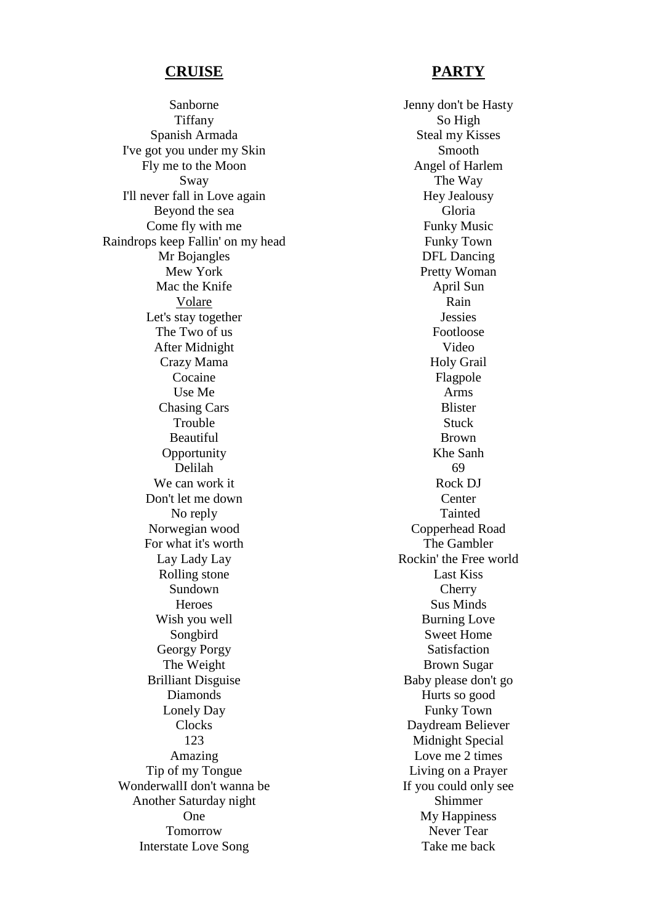## **CRUISE**

Sanborne Tiffany Spanish Armada I've got you under my Skin Fly me to the Moon Sway I'll never fall in Love again Beyond the sea Come fly with me Raindrops keep Fallin' on my head Mr Bojangles Mew York Mac the Knife Volare Let's stay together The Two of us After Midnight Crazy Mama Cocaine Use Me Chasing Cars Trouble Beautiful **Opportunity** Delilah We can work it Don't let me down No reply Norwegian wood For what it's worth Lay Lady Lay Rolling stone Sundown **Heroes** Wish you well Songbird Georgy Porgy The Weight Brilliant Disguise Diamonds Lonely Day **Clocks** 123 Amazing Tip of my Tongue WonderwallI don't wanna be Another Saturday night One Tomorrow Interstate Love Song

## **PARTY**

Jenny don't be Hasty So High Steal my Kisses Smooth Angel of Harlem The Way Hey Jealousy Gloria Funky Music Funky Town DFL Dancing Pretty Woman April Sun Rain Jessies Footloose Video Holy Grail Flagpole Arms Blister **Stuck** Brown Khe Sanh 69 Rock DJ Center Tainted Copperhead Road The Gambler Rockin' the Free world Last Kiss **Cherry** Sus Minds Burning Love Sweet Home Satisfaction Brown Sugar Baby please don't go Hurts so good Funky Town Daydream Believer Midnight Special Love me 2 times Living on a Prayer If you could only see Shimmer My Happiness Never Tear Take me back